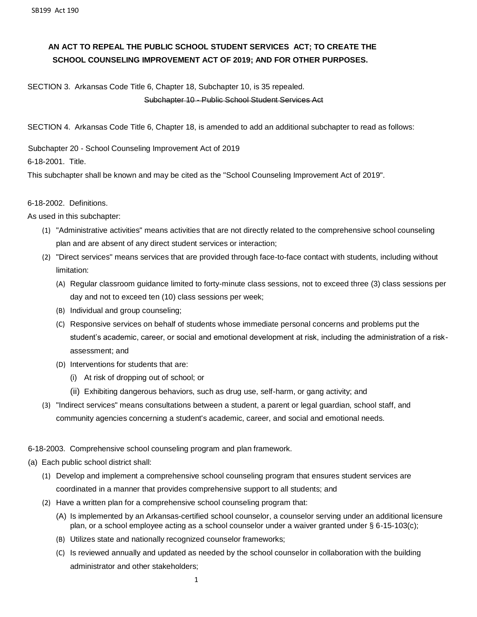# **AN ACT TO REPEAL THE PUBLIC SCHOOL STUDENT SERVICES ACT; TO CREATE THE SCHOOL COUNSELING IMPROVEMENT ACT OF 2019; AND FOR OTHER PURPOSES.**

## SECTION 3. Arkansas Code Title 6, Chapter 18, Subchapter 10, is 35 repealed.

#### Subchapter 10 - Public School Student Services Act

SECTION 4. Arkansas Code Title 6, Chapter 18, is amended to add an additional subchapter to read as follows:

Subchapter 20 - School Counseling Improvement Act of 2019

6-18-2001. Title.

This subchapter shall be known and may be cited as the "School Counseling Improvement Act of 2019".

#### 6-18-2002. Definitions.

As used in this subchapter:

- (1) "Administrative activities" means activities that are not directly related to the comprehensive school counseling plan and are absent of any direct student services or interaction;
- (2) "Direct services" means services that are provided through face-to-face contact with students, including without limitation:
	- (A) Regular classroom guidance limited to forty-minute class sessions, not to exceed three (3) class sessions per day and not to exceed ten (10) class sessions per week;
	- (B) Individual and group counseling;
	- (C) Responsive services on behalf of students whose immediate personal concerns and problems put the student's academic, career, or social and emotional development at risk, including the administration of a riskassessment; and
	- (D) Interventions for students that are:
		- (i) At risk of dropping out of school; or
		- (ii) Exhibiting dangerous behaviors, such as drug use, self-harm, or gang activity; and
- (3) "Indirect services" means consultations between a student, a parent or legal guardian, school staff, and community agencies concerning a student's academic, career, and social and emotional needs.

### 6-18-2003. Comprehensive school counseling program and plan framework.

- (a) Each public school district shall:
	- (1) Develop and implement a comprehensive school counseling program that ensures student services are coordinated in a manner that provides comprehensive support to all students; and
	- (2) Have a written plan for a comprehensive school counseling program that:
		- (A) Is implemented by an Arkansas-certified school counselor, a counselor serving under an additional licensure plan, or a school employee acting as a school counselor under a waiver granted under § 6-15-103(c);
		- (B) Utilizes state and nationally recognized counselor frameworks;
		- (C) Is reviewed annually and updated as needed by the school counselor in collaboration with the building administrator and other stakeholders;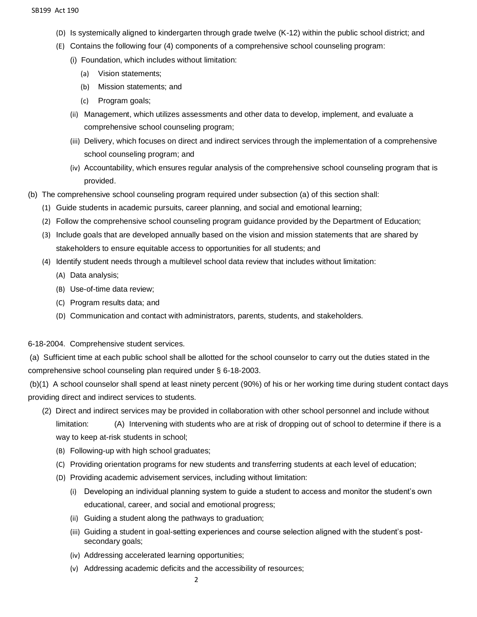- (D) Is systemically aligned to kindergarten through grade twelve (K-12) within the public school district; and
- (E) Contains the following four (4) components of a comprehensive school counseling program:
	- (i) Foundation, which includes without limitation:
		- (a) Vision statements;
		- (b) Mission statements; and
		- (c) Program goals;
	- (ii) Management, which utilizes assessments and other data to develop, implement, and evaluate a comprehensive school counseling program;
	- (iii) Delivery, which focuses on direct and indirect services through the implementation of a comprehensive school counseling program; and
	- (iv) Accountability, which ensures regular analysis of the comprehensive school counseling program that is provided.
- (b) The comprehensive school counseling program required under subsection (a) of this section shall:
	- (1) Guide students in academic pursuits, career planning, and social and emotional learning;
	- (2) Follow the comprehensive school counseling program guidance provided by the Department of Education;
	- (3) Include goals that are developed annually based on the vision and mission statements that are shared by stakeholders to ensure equitable access to opportunities for all students; and
	- (4) Identify student needs through a multilevel school data review that includes without limitation:
		- (A) Data analysis;
		- (B) Use-of-time data review;
		- (C) Program results data; and
		- (D) Communication and contact with administrators, parents, students, and stakeholders.

6-18-2004. Comprehensive student services.

(a) Sufficient time at each public school shall be allotted for the school counselor to carry out the duties stated in the comprehensive school counseling plan required under § 6-18-2003.

(b)(1) A school counselor shall spend at least ninety percent (90%) of his or her working time during student contact days providing direct and indirect services to students.

- (2) Direct and indirect services may be provided in collaboration with other school personnel and include without limitation: (A) Intervening with students who are at risk of dropping out of school to determine if there is a way to keep at-risk students in school;
	- (B) Following-up with high school graduates;
	- (C) Providing orientation programs for new students and transferring students at each level of education;
	- (D) Providing academic advisement services, including without limitation:
		- (i) Developing an individual planning system to guide a student to access and monitor the student's own educational, career, and social and emotional progress;
		- (ii) Guiding a student along the pathways to graduation;
		- (iii) Guiding a student in goal-setting experiences and course selection aligned with the student's postsecondary goals;
		- (iv) Addressing accelerated learning opportunities;
		- (v) Addressing academic deficits and the accessibility of resources;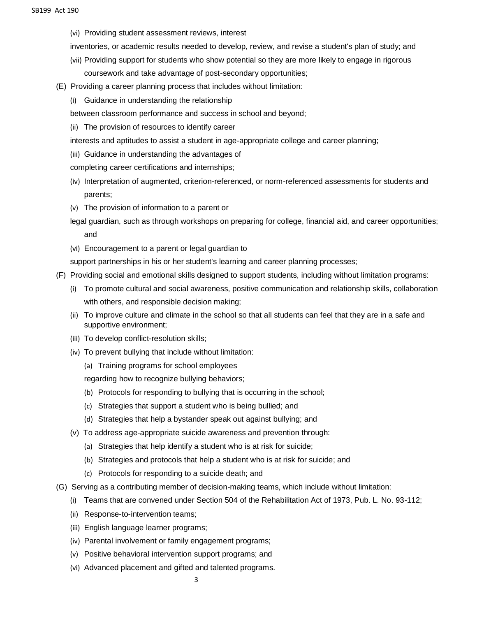- (vi) Providing student assessment reviews, interest
- inventories, or academic results needed to develop, review, and revise a student's plan of study; and
- (vii) Providing support for students who show potential so they are more likely to engage in rigorous coursework and take advantage of post-secondary opportunities;
- (E) Providing a career planning process that includes without limitation:
	- (i) Guidance in understanding the relationship
	- between classroom performance and success in school and beyond;
	- (ii) The provision of resources to identify career
	- interests and aptitudes to assist a student in age-appropriate college and career planning;
	- (iii) Guidance in understanding the advantages of
	- completing career certifications and internships;
	- (iv) Interpretation of augmented, criterion-referenced, or norm-referenced assessments for students and parents;
	- (v) The provision of information to a parent or
	- legal guardian, such as through workshops on preparing for college, financial aid, and career opportunities; and
	- (vi) Encouragement to a parent or legal guardian to
	- support partnerships in his or her student's learning and career planning processes;
- (F) Providing social and emotional skills designed to support students, including without limitation programs:
	- (i) To promote cultural and social awareness, positive communication and relationship skills, collaboration with others, and responsible decision making;
	- (ii) To improve culture and climate in the school so that all students can feel that they are in a safe and supportive environment;
	- (iii) To develop conflict-resolution skills;
	- (iv) To prevent bullying that include without limitation:
		- (a) Training programs for school employees

regarding how to recognize bullying behaviors;

- (b) Protocols for responding to bullying that is occurring in the school;
- (c) Strategies that support a student who is being bullied; and
- (d) Strategies that help a bystander speak out against bullying; and
- (v) To address age-appropriate suicide awareness and prevention through:
	- (a) Strategies that help identify a student who is at risk for suicide;
	- (b) Strategies and protocols that help a student who is at risk for suicide; and
	- (c) Protocols for responding to a suicide death; and
- (G) Serving as a contributing member of decision-making teams, which include without limitation:
	- (i) Teams that are convened under Section 504 of the Rehabilitation Act of 1973, Pub. L. No. 93-112;
	- (ii) Response-to-intervention teams;
	- (iii) English language learner programs;
	- (iv) Parental involvement or family engagement programs;
	- (v) Positive behavioral intervention support programs; and
	- (vi) Advanced placement and gifted and talented programs.